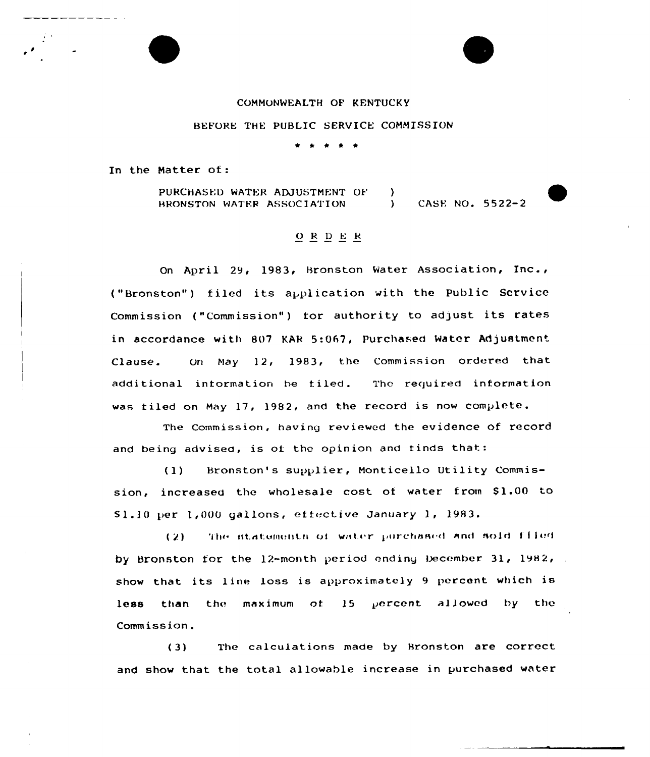#### COMMONWEALTH OF KENTUCKy

#### BEFORE THE PUBLIC SERVICE COMMISSION

In the Matter of:

PURCHASED WATER ADJUSTMENT OF HRONSTON WATER ASSOCIATION  $\left\{ \right\}$ ) CASE NO. 5522-2

## $O$  R  $D$  E  $R$

On April 29, 1983, Bronston Water Association,  $Inc.,$ ("Bronston") filed its application with the Public Service Commission ("Commission") for authority to adjust its rates in accordance with 807 KAk 5:067, Purchased Water Adjustment Clause. On May 12, 1983, the Commission ordered that additional intormation be filed. The required information was filed on May 17, 1982, and the record is now complete.

The commission, having reviewed the evidence of record and being advised, is of the opinion and finds that:

(1) Bronston's supplier, Monticello Utility Commission, increased the wholesale cost of water from \$1.00 to S1.10 per 1,000 gallons, effective January 1, 1983.

(2) . The statements of water purchased and sold files by Bronston for the  $12$ -month period ending December 31, 1982, show that its line loss is approximately 9 percent which is less than the maximum of  $15$  percent allowed by the Commission.

( 3) The calculations made by Hronston are correct and show that the total allowable increase in purchased water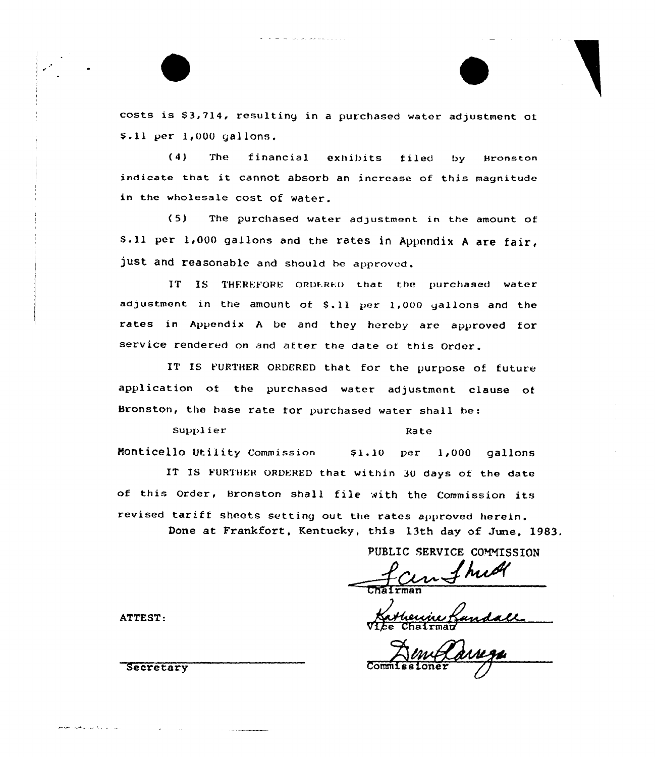costs is 83,714, resulting in <sup>a</sup> purchased water adjustment of \$.11 per 1,000 gallons.

(4) The financial exhibits filed by Bronston indicate that it cannot absorb an increase of this magnitude in the wholesale cost of water.

( 5) The purchased water adjustment in the amount of S.11 per 1,000 gallons and the rates in Appendix A are fair, just and reasonable and should be approved.

IT IS THEREFORE ORDERED that the purchased water adjustment in the amount of \$.11 per 1,000 gallons and the rates in Appendix <sup>A</sup> be and they hereby are approved for service rendered on and after the date of this Order.

IT IS FURTHER ORDERED that for the purpose of future application of the purchased water adjustment clause of Bronston, the base rate for purchased water shall be:

Supplier Rate Monticello Utility Commission \$1.10 per 1,000 gallons IT IS FURTHER ORDERED that within 30 days of the date of this Order, Bronston shall file with the Commission its

revised tariff sheets setting out the rates approved herein. Done at Frankfort, Kentucky, this 13th day of June, 1983.

PUBLIC SERVICE COMMISSION

man

Vice Chairman

ATTEST:

وأسوار أنهرا والرواة المهاوية والمتكافحة والمحافظة والمقرور

Secretary